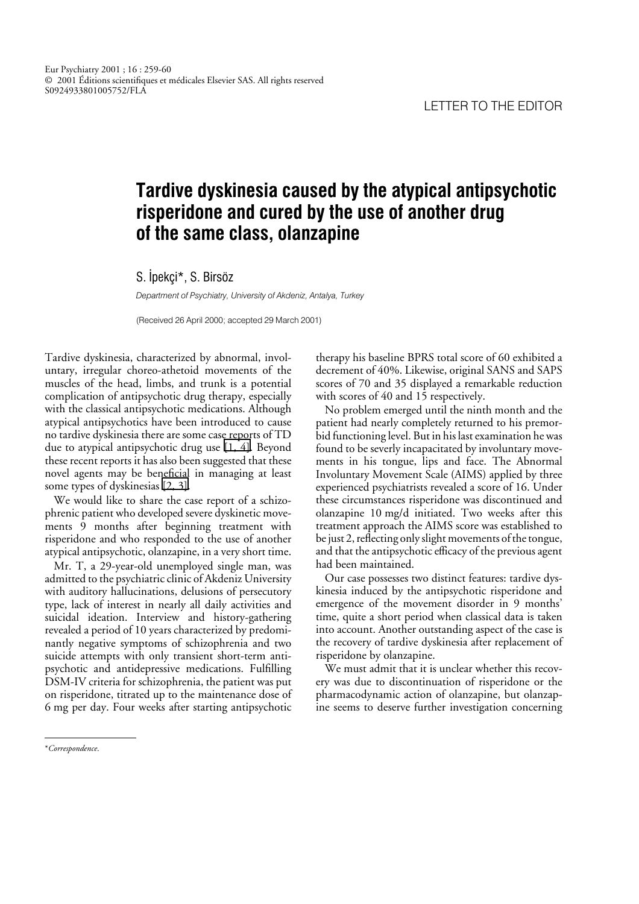## **Tardive dyskinesia caused by the atypical antipsychotic risperidone and cured by the use of another drug of the same class, olanzapine**

S. Ipekçi\*, S. Birsöz

*Department of Psychiatry, University of Akdeniz, Antalya, Turkey*

(Received 26 April 2000; accepted 29 March 2001)

Tardive dyskinesia, characterized by abnormal, involuntary, irregular choreo-athetoid movements of the muscles of the head, limbs, and trunk is a potential complication of antipsychotic drug therapy, especially with the classical antipsychotic medications. Although atypical antipsychotics have been introduced to cause no tardive dyskinesia there are some case reports of TD due to atypical antipsychotic drug use [\[1, 4\].](#page-1-0) Beyond these recent reports it has also been suggested that these novel agents may be beneficial in managing at least some types of dyskinesias [\[2, 3\].](#page-1-0)

We would like to share the case report of a schizophrenic patient who developed severe dyskinetic movements 9 months after beginning treatment with risperidone and who responded to the use of another atypical antipsychotic, olanzapine, in a very short time.

Mr. T, a 29-year-old unemployed single man, was admitted to the psychiatric clinic of Akdeniz University with auditory hallucinations, delusions of persecutory type, lack of interest in nearly all daily activities and suicidal ideation. Interview and history-gathering revealed a period of 10 years characterized by predominantly negative symptoms of schizophrenia and two suicide attempts with only transient short-term antipsychotic and antidepressive medications. Fulfilling DSM-IV criteria for schizophrenia, the patient was put on risperidone, titrated up to the maintenance dose of 6 mg per day. Four weeks after starting antipsychotic

therapy his baseline BPRS total score of 60 exhibited a decrement of 40%. Likewise, original SANS and SAPS scores of 70 and 35 displayed a remarkable reduction with scores of 40 and 15 respectively.

No problem emerged until the ninth month and the patient had nearly completely returned to his premorbid functioning level. But in his last examination he was found to be severly incapacitated by involuntary movements in his tongue, lips and face. The Abnormal Involuntary Movement Scale (AIMS) applied by three experienced psychiatrists revealed a score of 16. Under these circumstances risperidone was discontinued and olanzapine 10 mg/d initiated. Two weeks after this treatment approach the AIMS score was established to be just 2, reflecting only slight movements of the tongue, and that the antipsychotic efficacy of the previous agent had been maintained.

Our case possesses two distinct features: tardive dyskinesia induced by the antipsychotic risperidone and emergence of the movement disorder in 9 months' time, quite a short period when classical data is taken into account. Another outstanding aspect of the case is the recovery of tardive dyskinesia after replacement of risperidone by olanzapine.

We must admit that it is unclear whether this recovery was due to discontinuation of risperidone or the pharmacodynamic action of olanzapine, but olanzapine seems to deserve further investigation concerning

<sup>\*</sup>*Correspondence*.